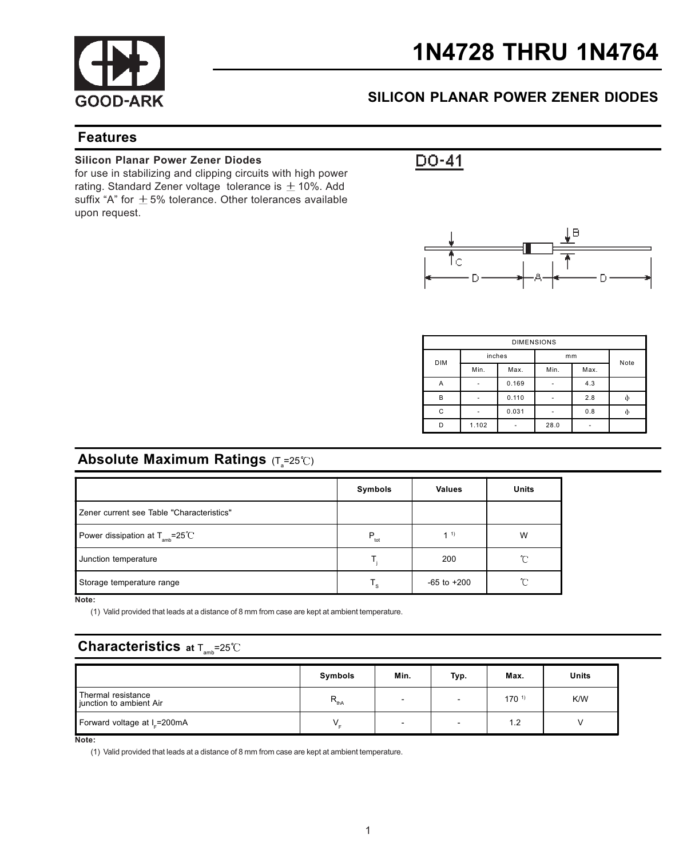

# 1N4728 THRU 1N4764

## SILICON PLANAR POWER ZENER DIODES

### Features

#### Silicon Planar Power Zener Diodes

for use in stabilizing and clipping circuits with high power rating. Standard Zener voltage tolerance is  $\pm$  10%. Add suffix "A" for  $\pm$  5% tolerance. Other tolerances available upon request.



| <b>DIMENSIONS</b> |        |       |      |      |   |  |
|-------------------|--------|-------|------|------|---|--|
| <b>DIM</b>        | inches |       | mm   | Note |   |  |
|                   | Min.   | Max.  | Min. | Max. |   |  |
| Α                 | ٠      | 0.169 | ٠    | 4.3  |   |  |
| B                 | ٠      | 0.110 |      | 2.8  | ф |  |
| С                 | ۰      | 0.031 |      | 0.8  | ф |  |
| D                 | 1.102  |       | 28.0 | ٠    |   |  |

## **Absolute Maximum Ratings** (T $_{\textrm{s}}$ =25℃)

|                                                      | Symbols       | <b>Values</b>   | Units |
|------------------------------------------------------|---------------|-----------------|-------|
| Zener current see Table "Characteristics"            |               |                 |       |
| Power dissipation at $T_{\text{amb}} = 25^{\circ}$ C | $P_{\rm tot}$ | 1 <sup>1</sup>  | W     |
| Junction temperature                                 |               | 200             | 'n    |
| Storage temperature range                            | T,            | $-65$ to $+200$ | ົ     |

Note:

(1) Valid provided that leads at a distance of 8 mm from case are kept at ambient temperature.

## **Characteristics** at  $T_{\text{max}}=25^{\circ}C$

|                                               | Symbols       | Min.                     | Typ. | Max.       | Units |
|-----------------------------------------------|---------------|--------------------------|------|------------|-------|
| Thermal resistance<br>junction to ambient Air | $R_{\rm thA}$ | -                        |      | $170^{11}$ | K/W   |
| Forward voltage at I_=200mA                   |               | $\overline{\phantom{0}}$ |      | 1.2        |       |

Note:

(1) Valid provided that leads at a distance of 8 mm from case are kept at ambient temperature.